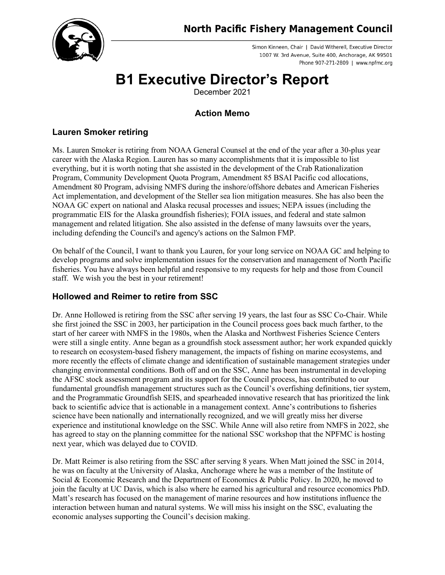

Simon Kinneen, Chair | David Witherell, Executive Director 1007 W. 3rd Avenue, Suite 400, Anchorage, AK 99501 Phone 907-271-2809 | www.npfmc.org

# **B1 Executive Director's Report**

December 2021

# **Action Memo**

# **Lauren Smoker retiring**

Ms. Lauren Smoker is retiring from NOAA General Counsel at the end of the year after a 30-plus year career with the Alaska Region. Lauren has so many accomplishments that it is impossible to list everything, but it is worth noting that she assisted in the development of the Crab Rationalization Program, Community Development Quota Program, Amendment 85 BSAI Pacific cod allocations, Amendment 80 Program, advising NMFS during the inshore/offshore debates and American Fisheries Act implementation, and development of the Steller sea lion mitigation measures. She has also been the NOAA GC expert on national and Alaska recusal processes and issues; NEPA issues (including the programmatic EIS for the Alaska groundfish fisheries); FOIA issues, and federal and state salmon management and related litigation. She also assisted in the defense of many lawsuits over the years, including defending the Council's and agency's actions on the Salmon FMP.

On behalf of the Council, I want to thank you Lauren, for your long service on NOAA GC and helping to develop programs and solve implementation issues for the conservation and management of North Pacific fisheries. You have always been helpful and responsive to my requests for help and those from Council staff. We wish you the best in your retirement!

# **Hollowed and Reimer to retire from SSC**

Dr. Anne Hollowed is retiring from the SSC after serving 19 years, the last four as SSC Co-Chair. While she first joined the SSC in 2003, her participation in the Council process goes back much farther, to the start of her career with NMFS in the 1980s, when the Alaska and Northwest Fisheries Science Centers were still a single entity. Anne began as a groundfish stock assessment author; her work expanded quickly to research on ecosystem-based fishery management, the impacts of fishing on marine ecosystems, and more recently the effects of climate change and identification of sustainable management strategies under changing environmental conditions. Both off and on the SSC, Anne has been instrumental in developing the AFSC stock assessment program and its support for the Council process, has contributed to our fundamental groundfish management structures such as the Council's overfishing definitions, tier system, and the Programmatic Groundfish SEIS, and spearheaded innovative research that has prioritized the link back to scientific advice that is actionable in a management context. Anne's contributions to fisheries science have been nationally and internationally recognized, and we will greatly miss her diverse experience and institutional knowledge on the SSC. While Anne will also retire from NMFS in 2022, she has agreed to stay on the planning committee for the national SSC workshop that the NPFMC is hosting next year, which was delayed due to COVID.

Dr. Matt Reimer is also retiring from the SSC after serving 8 years. When Matt joined the SSC in 2014, he was on faculty at the University of Alaska, Anchorage where he was a member of the Institute of Social & Economic Research and the Department of Economics & Public Policy. In 2020, he moved to join the faculty at UC Davis, which is also where he earned his agricultural and resource economics PhD. Matt's research has focused on the management of marine resources and how institutions influence the interaction between human and natural systems. We will miss his insight on the SSC, evaluating the economic analyses supporting the Council's decision making.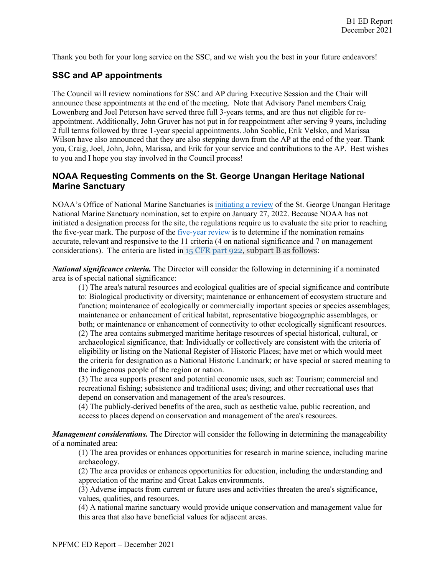Thank you both for your long service on the SSC, and we wish you the best in your future endeavors!

## **SSC and AP appointments**

The Council will review nominations for SSC and AP during Executive Session and the Chair will announce these appointments at the end of the meeting. Note that Advisory Panel members Craig Lowenberg and Joel Peterson have served three full 3-years terms, and are thus not eligible for reappointment. Additionally, John Gruver has not put in for reappointment after serving 9 years, including 2 full terms followed by three 1-year special appointments. John Scoblic, Erik Velsko, and Marissa Wilson have also announced that they are also stepping down from the AP at the end of the year. Thank you, Craig, Joel, John, John, Marissa, and Erik for your service and contributions to the AP. Best wishes to you and I hope you stay involved in the Council process!

#### **NOAA Requesting Comments on the St. George Unangan Heritage National Marine Sanctuary**

NOAA's Office of National Marine Sanctuaries is [initiating a review](https://www.federalregister.gov/documents/2021/11/17/2021-24998/review-of-nomination-for-st-george-unangan-heritage-national-marine-sanctuary) of the St. George Unangan Heritage National Marine Sanctuary nomination, set to expire on January 27, 2022. Because NOAA has not initiated a designation process for the site, the regulations require us to evaluate the site prior to reaching the five-year mark. The purpose of the [five-year review i](https://www.federalregister.gov/documents/2019/11/13/2019-24577/clarification-of-procedures-for-the-sanctuary-nomination-process)s to determine if the nomination remains accurate, relevant and responsive to the 11 criteria (4 on national significance and 7 on management considerations). The criteria are listed in 15 [CFR](https://www.federalregister.gov/select-citation/2019/11/13/15-CFR-922) part 922, subpart B as follows:

*National significance criteria.* The Director will consider the following in determining if a nominated area is of special national significance:

(1) The area's natural resources and ecological qualities are of special significance and contribute to: Biological productivity or diversity; maintenance or enhancement of ecosystem structure and function; maintenance of ecologically or commercially important species or species assemblages; maintenance or enhancement of critical habitat, representative biogeographic assemblages, or both; or maintenance or enhancement of connectivity to other ecologically significant resources. (2) The area contains submerged maritime heritage resources of special historical, cultural, or archaeological significance, that: Individually or collectively are consistent with the criteria of eligibility or listing on the National Register of Historic Places; have met or which would meet the criteria for designation as a National Historic Landmark; or have special or sacred meaning to the indigenous people of the region or nation.

(3) The area supports present and potential economic uses, such as: Tourism; commercial and recreational fishing; subsistence and traditional uses; diving; and other recreational uses that depend on conservation and management of the area's resources.

(4) The publicly-derived benefits of the area, such as aesthetic value, public recreation, and access to places depend on conservation and management of the area's resources.

*Management considerations.* The Director will consider the following in determining the manageability of a nominated area:

(1) The area provides or enhances opportunities for research in marine science, including marine archaeology.

(2) The area provides or enhances opportunities for education, including the understanding and appreciation of the marine and Great Lakes environments.

(3) Adverse impacts from current or future uses and activities threaten the area's significance, values, qualities, and resources.

(4) A national marine sanctuary would provide unique conservation and management value for this area that also have beneficial values for adjacent areas.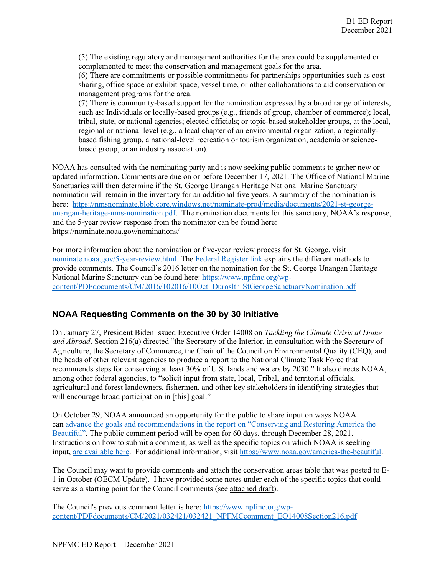(5) The existing regulatory and management authorities for the area could be supplemented or complemented to meet the conservation and management goals for the area.

(6) There are commitments or possible commitments for partnerships opportunities such as cost sharing, office space or exhibit space, vessel time, or other collaborations to aid conservation or management programs for the area.

(7) There is community-based support for the nomination expressed by a broad range of interests, such as: Individuals or locally-based groups (e.g., friends of group, chamber of commerce); local, tribal, state, or national agencies; elected officials; or topic-based stakeholder groups, at the local, regional or national level (e.g., a local chapter of an environmental organization, a regionallybased fishing group, a national-level recreation or tourism organization, academia or sciencebased group, or an industry association).

NOAA has consulted with the nominating party and is now seeking public comments to gather new or updated information. Comments are due on or before December 17, 2021. The Office of National Marine Sanctuaries will then determine if the St. George Unangan Heritage National Marine Sanctuary nomination will remain in the inventory for an additional five years. A summary of the nomination is here: [https://nmsnominate.blob.core.windows.net/nominate-prod/media/documents/2021-st-george](https://nmsnominate.blob.core.windows.net/nominate-prod/media/documents/2021-st-george-unangan-heritage-nms-nomination.pdf)[unangan-heritage-nms-nomination.pdf.](https://nmsnominate.blob.core.windows.net/nominate-prod/media/documents/2021-st-george-unangan-heritage-nms-nomination.pdf) The nomination documents for this sanctuary, NOAA's response, and the 5-year review response from the nominator can be found here: https://nominate.noaa.gov/nominations/

For more information about the nomination or five-year review process for St. George, visit [nominate.noaa.gov/5-year-review.html.](http://nominate.noaa.gov/5-year-review.html) Th[e Federal Register link](https://www.federalregister.gov/documents/2021/11/17/2021-24998/review-of-nomination-for-st-george-unangan-heritage-national-marine-sanctuary) explains the different methods to provide comments. The Council's 2016 letter on the nomination for the St. George Unangan Heritage National Marine Sanctuary can be found here: [https://www.npfmc.org/wp](https://www.npfmc.org/wp-content/PDFdocuments/CM/2016/102016/10Oct_Durosltr_StGeorgeSanctuaryNomination.pdf)[content/PDFdocuments/CM/2016/102016/10Oct\\_Durosltr\\_StGeorgeSanctuaryNomination.pdf](https://www.npfmc.org/wp-content/PDFdocuments/CM/2016/102016/10Oct_Durosltr_StGeorgeSanctuaryNomination.pdf)

# **NOAA Requesting Comments on the 30 by 30 Initiative**

On January 27, President Biden issued Executive Order 14008 on *Tackling the Climate Crisis at Home and Abroad*. Section 216(a) directed "the Secretary of the Interior, in consultation with the Secretary of Agriculture, the Secretary of Commerce, the Chair of the Council on Environmental Quality (CEQ), and the heads of other relevant agencies to produce a report to the National Climate Task Force that recommends steps for conserving at least 30% of U.S. lands and waters by 2030." It also directs NOAA, among other federal agencies, to "solicit input from state, local, Tribal, and territorial officials, agricultural and forest landowners, fishermen, and other key stakeholders in identifying strategies that will encourage broad participation in [this] goal."

On October 29, NOAA announced an opportunity for the public to share input on ways NOAA can [advance the goals and recommendations in the report on "Conserving and Restoring America the](https://www.noaa.gov/news-release/noaa-opens-public-comment-period-on-america-beautiful-initiative)  [Beautiful".](https://www.noaa.gov/news-release/noaa-opens-public-comment-period-on-america-beautiful-initiative) The public comment period will be open for 60 days, through December 28, 2021. Instructions on how to submit a comment, as well as the specific topics on which NOAA is seeking input, [are available here.](https://www.federalregister.gov/documents/2021/10/29/2021-23590/request-for-information-on-noaa-actions-to-advance-the-goals-and-recommendations-in-the-report-on) For additional information, visit [https://www.noaa.gov/america-the-beautiful.](https://www.noaa.gov/america-the-beautiful)

The Council may want to provide comments and attach the conservation areas table that was posted to E-1 in October (OECM Update). I have provided some notes under each of the specific topics that could serve as a starting point for the Council comments (see attached draft).

The Council's previous comment letter is here: [https://www.npfmc.org/wp](https://www.npfmc.org/wp-content/PDFdocuments/CM/2021/032421/032421_NPFMCcomment_EO14008Section216.pdf)[content/PDFdocuments/CM/2021/032421/032421\\_NPFMCcomment\\_EO14008Section216.pdf](https://www.npfmc.org/wp-content/PDFdocuments/CM/2021/032421/032421_NPFMCcomment_EO14008Section216.pdf)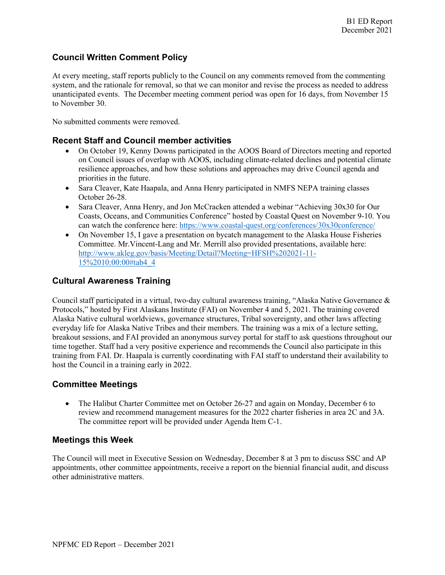## **Council Written Comment Policy**

At every meeting, staff reports publicly to the Council on any comments removed from the commenting system, and the rationale for removal, so that we can monitor and revise the process as needed to address unanticipated events. The December meeting comment period was open for 16 days, from November 15 to November 30.

No submitted comments were removed.

#### **Recent Staff and Council member activities**

- On October 19, Kenny Downs participated in the AOOS Board of Directors meeting and reported on Council issues of overlap with AOOS, including climate-related declines and potential climate resilience approaches, and how these solutions and approaches may drive Council agenda and priorities in the future.
- Sara Cleaver, Kate Haapala, and Anna Henry participated in NMFS NEPA training classes October 26-28.
- Sara Cleaver, Anna Henry, and Jon McCracken attended a webinar "Achieving 30x30 for Our Coasts, Oceans, and Communities Conference" hosted by Coastal Quest on November 9-10. You can watch the conference here:<https://www.coastal-quest.org/conferences/30x30conference/>
- On November 15, I gave a presentation on bycatch management to the Alaska House Fisheries Committee. Mr.Vincent-Lang and Mr. Merrill also provided presentations, available here: [http://www.akleg.gov/basis/Meeting/Detail?Meeting=HFSH%202021-11-](http://www.akleg.gov/basis/Meeting/Detail?Meeting=HFSH%202021-11-15%2010:00:00#tab4_4) [15%2010:00:00#tab4\\_4](http://www.akleg.gov/basis/Meeting/Detail?Meeting=HFSH%202021-11-15%2010:00:00#tab4_4)

#### **Cultural Awareness Training**

Council staff participated in a virtual, two-day cultural awareness training, "Alaska Native Governance & Protocols," hosted by First Alaskans Institute (FAI) on November 4 and 5, 2021. The training covered Alaska Native cultural worldviews, governance structures, Tribal sovereignty, and other laws affecting everyday life for Alaska Native Tribes and their members. The training was a mix of a lecture setting, breakout sessions, and FAI provided an anonymous survey portal for staff to ask questions throughout our time together. Staff had a very positive experience and recommends the Council also participate in this training from FAI. Dr. Haapala is currently coordinating with FAI staff to understand their availability to host the Council in a training early in 2022.

#### **Committee Meetings**

• The Halibut Charter Committee met on October 26-27 and again on Monday, December 6 to review and recommend management measures for the 2022 charter fisheries in area 2C and 3A. The committee report will be provided under Agenda Item C-1.

#### **Meetings this Week**

The Council will meet in Executive Session on Wednesday, December 8 at 3 pm to discuss SSC and AP appointments, other committee appointments, receive a report on the biennial financial audit, and discuss other administrative matters.